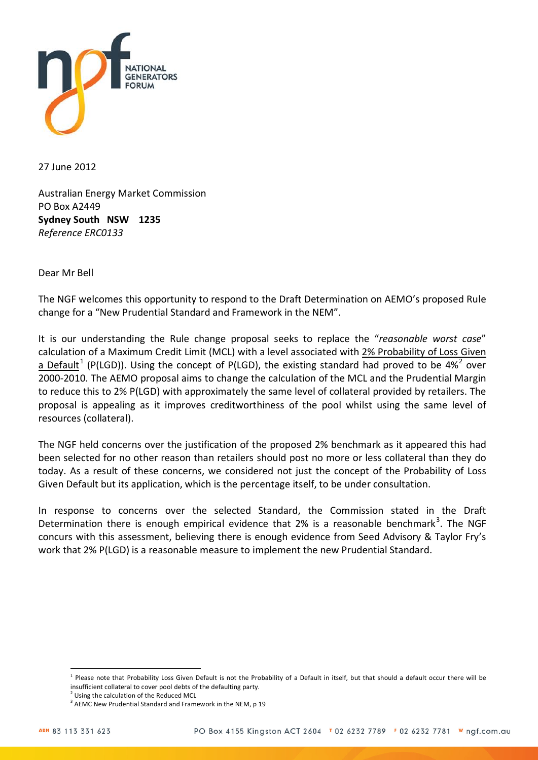

27 June 2012

Australian Energy Market Commission PO Box A2449 **Sydney South NSW 1235** *Reference ERC0133*

Dear Mr Bell

The NGF welcomes this opportunity to respond to the Draft Determination on AEMO's proposed Rule change for a "New Prudential Standard and Framework in the NEM".

It is our understanding the Rule change proposal seeks to replace the "*reasonable worst case*" calculation of a Maximum Credit Limit (MCL) with a level associated with 2% Probability of Loss Given a Default<sup>[1](#page-0-0)</sup> (P(LGD)). Using the concept of P(LGD), the existing standard had proved to be 4%<sup>[2](#page-0-1)</sup> over 2000-2010. The AEMO proposal aims to change the calculation of the MCL and the Prudential Margin to reduce this to 2% P(LGD) with approximately the same level of collateral provided by retailers. The proposal is appealing as it improves creditworthiness of the pool whilst using the same level of resources (collateral).

The NGF held concerns over the justification of the proposed 2% benchmark as it appeared this had been selected for no other reason than retailers should post no more or less collateral than they do today. As a result of these concerns, we considered not just the concept of the Probability of Loss Given Default but its application, which is the percentage itself, to be under consultation.

In response to concerns over the selected Standard, the Commission stated in the Draft Determination there is enough empirical evidence that 2% is a reasonable benchmark<sup>[3](#page-0-2)</sup>. The NGF concurs with this assessment, believing there is enough evidence from Seed Advisory & Taylor Fry's work that 2% P(LGD) is a reasonable measure to implement the new Prudential Standard.

 $\overline{a}$ 

<span id="page-0-0"></span><sup>&</sup>lt;sup>1</sup> Please note that Probability Loss Given Default is not the Probability of a Default in itself, but that should a default occur there will be insufficient collateral to cover pool debts of the defaulting party.

<span id="page-0-2"></span><span id="page-0-1"></span><sup>&</sup>lt;sup>2</sup> Using the calculation of the Reduced MCL  $3$  AEMC New Prudential Standard and Framework in the NEM, p 19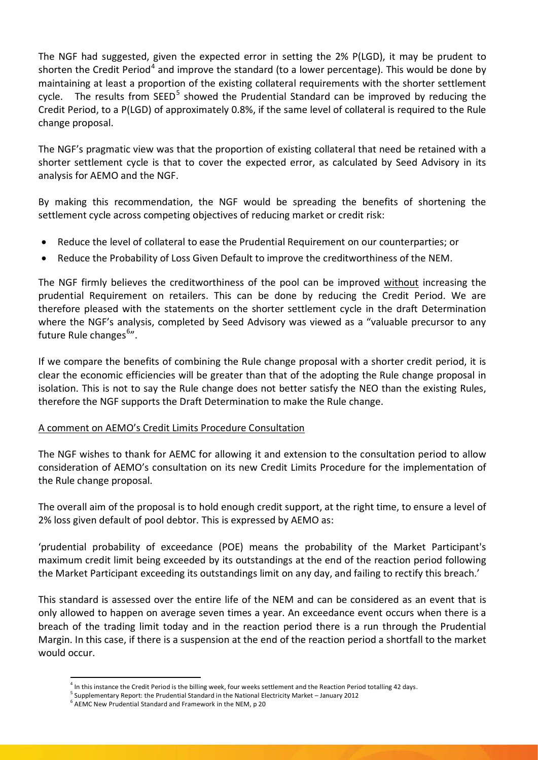The NGF had suggested, given the expected error in setting the 2% P(LGD), it may be prudent to shorten the Credit Period<sup>[4](#page-1-0)</sup> and improve the standard (to a lower percentage). This would be done by maintaining at least a proportion of the existing collateral requirements with the shorter settlement cycle. The results from  $SEED<sup>5</sup>$  $SEED<sup>5</sup>$  $SEED<sup>5</sup>$  showed the Prudential Standard can be improved by reducing the Credit Period, to a P(LGD) of approximately 0.8%, if the same level of collateral is required to the Rule change proposal.

The NGF's pragmatic view was that the proportion of existing collateral that need be retained with a shorter settlement cycle is that to cover the expected error, as calculated by Seed Advisory in its analysis for AEMO and the NGF.

By making this recommendation, the NGF would be spreading the benefits of shortening the settlement cycle across competing objectives of reducing market or credit risk:

- Reduce the level of collateral to ease the Prudential Requirement on our counterparties; or
- Reduce the Probability of Loss Given Default to improve the creditworthiness of the NEM.

The NGF firmly believes the creditworthiness of the pool can be improved without increasing the prudential Requirement on retailers. This can be done by reducing the Credit Period. We are therefore pleased with the statements on the shorter settlement cycle in the draft Determination where the NGF's analysis, completed by Seed Advisory was viewed as a "valuable precursor to any future Rule changes<sup>[6](#page-1-2)</sup>".

If we compare the benefits of combining the Rule change proposal with a shorter credit period, it is clear the economic efficiencies will be greater than that of the adopting the Rule change proposal in isolation. This is not to say the Rule change does not better satisfy the NEO than the existing Rules, therefore the NGF supports the Draft Determination to make the Rule change.

## A comment on AEMO's Credit Limits Procedure Consultation

The NGF wishes to thank for AEMC for allowing it and extension to the consultation period to allow consideration of AEMO's consultation on its new Credit Limits Procedure for the implementation of the Rule change proposal.

The overall aim of the proposal is to hold enough credit support, at the right time, to ensure a level of 2% loss given default of pool debtor. This is expressed by AEMO as:

'prudential probability of exceedance (POE) means the probability of the Market Participant's maximum credit limit being exceeded by its outstandings at the end of the reaction period following the Market Participant exceeding its outstandings limit on any day, and failing to rectify this breach.'

This standard is assessed over the entire life of the NEM and can be considered as an event that is only allowed to happen on average seven times a year. An exceedance event occurs when there is a breach of the trading limit today and in the reaction period there is a run through the Prudential Margin. In this case, if there is a suspension at the end of the reaction period a shortfall to the market would occur.

 $4$  In this instance the Credit Period is the billing week, four weeks settlement and the Reaction Period totalling 42 days.

<span id="page-1-2"></span><span id="page-1-1"></span><span id="page-1-0"></span><sup>&</sup>lt;sup>5</sup> Supplementary Report: the Prudential Standard in the National Electricity Market – January 2012<br><sup>6</sup> AEMC New Prudential Standard and Framework in the NEM, p 20